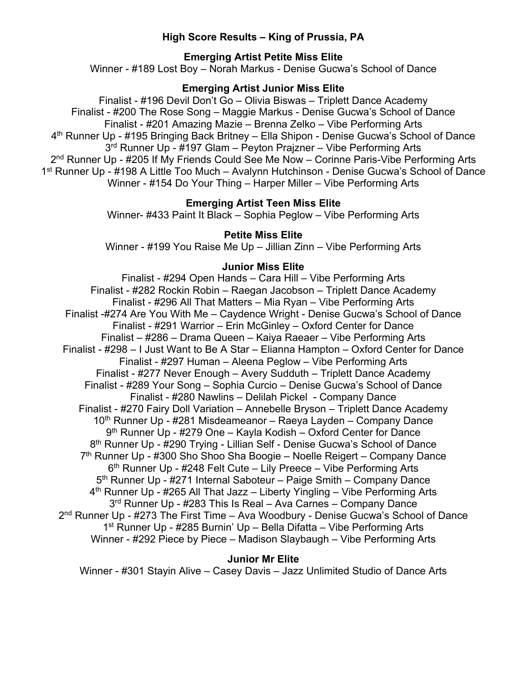# **High Score Results – King of Prussia, PA**

# **Emerging Artist Petite Miss Elite**

Winner - #189 Lost Boy – Norah Markus - Denise Gucwa's School of Dance

# **Emerging Artist Junior Miss Elite**

Finalist - #196 Devil Don't Go – Olivia Biswas – Triplett Dance Academy Finalist - #200 The Rose Song – Maggie Markus - Denise Gucwa's School of Dance Finalist - #201 Amazing Mazie – Brenna Zelko – Vibe Performing Arts 4th Runner Up - #195 Bringing Back Britney – Ella Shipon - Denise Gucwa's School of Dance 3<sup>rd</sup> Runner Up - #197 Glam – Peyton Prajzner – Vibe Performing Arts 2<sup>nd</sup> Runner Up - #205 If My Friends Could See Me Now – Corinne Paris-Vibe Performing Arts 1st Runner Up - #198 A Little Too Much – Avalynn Hutchinson - Denise Gucwa's School of Dance Winner - #154 Do Your Thing – Harper Miller – Vibe Performing Arts

# **Emerging Artist Teen Miss Elite**

Winner- #433 Paint It Black – Sophia Peglow – Vibe Performing Arts

### **Petite Miss Elite**

Winner - #199 You Raise Me Up – Jillian Zinn – Vibe Performing Arts

### **Junior Miss Elite**

Finalist - #294 Open Hands – Cara Hill – Vibe Performing Arts Finalist - #282 Rockin Robin – Raegan Jacobson – Triplett Dance Academy Finalist - #296 All That Matters – Mia Ryan – Vibe Performing Arts Finalist -#274 Are You With Me – Caydence Wright - Denise Gucwa's School of Dance Finalist - #291 Warrior – Erin McGinley – Oxford Center for Dance Finalist – #286 – Drama Queen – Kaiya Raeaer – Vibe Performing Arts Finalist - #298 – I Just Want to Be A Star – Elianna Hampton – Oxford Center for Dance Finalist - #297 Human – Aleena Peglow – Vibe Performing Arts Finalist - #277 Never Enough – Avery Sudduth – Triplett Dance Academy Finalist - #289 Your Song – Sophia Curcio – Denise Gucwa's School of Dance Finalist - #280 Nawlins – Delilah Pickel - Company Dance Finalist - #270 Fairy Doll Variation – Annebelle Bryson – Triplett Dance Academy 10<sup>th</sup> Runner Up - #281 Misdeameanor – Raeya Layden – Company Dance 9th Runner Up - #279 One – Kayla Kodish – Oxford Center for Dance 8<sup>th</sup> Runner Up - #290 Trying - Lillian Self - Denise Gucwa's School of Dance 7<sup>th</sup> Runner Up - #300 Sho Shoo Sha Boogie – Noelle Reigert – Company Dance  $6<sup>th</sup>$  Runner Up - #248 Felt Cute – Lily Preece – Vibe Performing Arts 5<sup>th</sup> Runner Up - #271 Internal Saboteur – Paige Smith – Company Dance  $4<sup>th</sup>$  Runner Up - #265 All That Jazz – Liberty Yingling – Vibe Performing Arts 3rd Runner Up - #283 This Is Real – Ava Carnes – Company Dance 2nd Runner Up - #273 The First Time – Ava Woodbury - Denise Gucwa's School of Dance 1<sup>st</sup> Runner Up - #285 Burnin' Up - Bella Difatta - Vibe Performing Arts Winner - #292 Piece by Piece – Madison Slaybaugh – Vibe Performing Arts

### **Junior Mr Elite**

Winner - #301 Stayin Alive – Casey Davis – Jazz Unlimited Studio of Dance Arts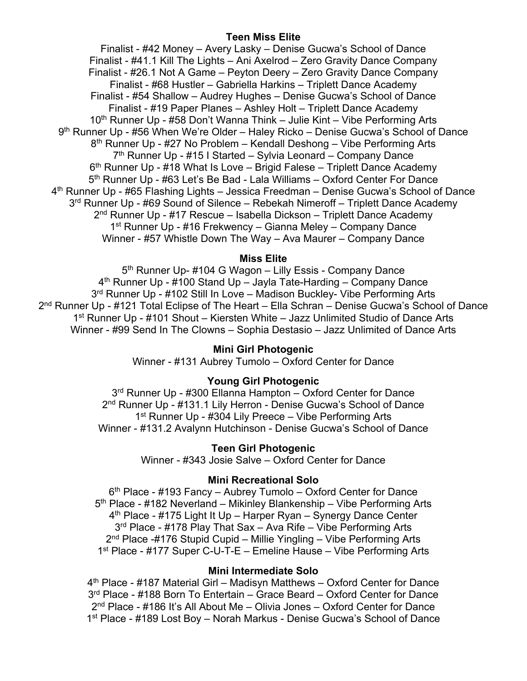## **Teen Miss Elite**

Finalist - #42 Money – Avery Lasky – Denise Gucwa's School of Dance Finalist - #41.1 Kill The Lights – Ani Axelrod – Zero Gravity Dance Company Finalist - #26.1 Not A Game – Peyton Deery – Zero Gravity Dance Company Finalist - #68 Hustler – Gabriella Harkins – Triplett Dance Academy Finalist - #54 Shallow – Audrey Hughes – Denise Gucwa's School of Dance Finalist - #19 Paper Planes – Ashley Holt – Triplett Dance Academy 10th Runner Up - #58 Don't Wanna Think – Julie Kint – Vibe Performing Arts 9<sup>th</sup> Runner Up - #56 When We're Older – Haley Ricko – Denise Gucwa's School of Dance 8th Runner Up - #27 No Problem – Kendall Deshong – Vibe Performing Arts  $7<sup>th</sup>$  Runner Up - #15 I Started – Sylvia Leonard – Company Dance  $6<sup>th</sup>$  Runner Up - #18 What Is Love – Brigid Falese – Triplett Dance Academy 5<sup>th</sup> Runner Up - #63 Let's Be Bad - Lala Williams – Oxford Center For Dance 4th Runner Up - #65 Flashing Lights – Jessica Freedman – Denise Gucwa's School of Dance 3rd Runner Up - #6*9* Sound of Silence – Rebekah Nimeroff – Triplett Dance Academy  $2<sup>nd</sup>$  Runner Up - #17 Rescue – Isabella Dickson – Triplett Dance Academy 1<sup>st</sup> Runner Up - #16 Frekwency – Gianna Meley – Company Dance Winner - #57 Whistle Down The Way – Ava Maurer – Company Dance

## **Miss Elite**

5<sup>th</sup> Runner Up- #104 G Wagon – Lilly Essis - Company Dance  $4<sup>th</sup>$  Runner Up - #100 Stand Up – Jayla Tate-Harding – Company Dance 3<sup>rd</sup> Runner Up - #102 Still In Love – Madison Buckley- Vibe Performing Arts 2<sup>nd</sup> Runner Up - #121 Total Eclipse of The Heart – Ella Schran – Denise Gucwa's School of Dance 1st Runner Up - #101 Shout – Kiersten White – Jazz Unlimited Studio of Dance Arts Winner - #99 Send In The Clowns – Sophia Destasio – Jazz Unlimited of Dance Arts

# **Mini Girl Photogenic**

Winner - #131 Aubrey Tumolo – Oxford Center for Dance

### **Young Girl Photogenic**

3<sup>rd</sup> Runner Up - #300 Ellanna Hampton – Oxford Center for Dance 2<sup>nd</sup> Runner Up - #131.1 Lily Herron - Denise Gucwa's School of Dance 1<sup>st</sup> Runner Up - #304 Lily Preece – Vibe Performing Arts Winner - #131.2 Avalynn Hutchinson - Denise Gucwa's School of Dance

#### **Teen Girl Photogenic**

Winner - #343 Josie Salve – Oxford Center for Dance

## **Mini Recreational Solo**

 $6<sup>th</sup>$  Place - #193 Fancy – Aubrey Tumolo – Oxford Center for Dance 5th Place - #182 Neverland – Mikinley Blankenship – Vibe Performing Arts 4th Place - #175 Light It Up – Harper Ryan – Synergy Dance Center 3<sup>rd</sup> Place - #178 Play That Sax – Ava Rife – Vibe Performing Arts 2<sup>nd</sup> Place -#176 Stupid Cupid – Millie Yingling – Vibe Performing Arts 1<sup>st</sup> Place - #177 Super C-U-T-E – Emeline Hause – Vibe Performing Arts

#### **Mini Intermediate Solo**

4th Place - #187 Material Girl – Madisyn Matthews – Oxford Center for Dance 3rd Place - #188 Born To Entertain – Grace Beard – Oxford Center for Dance 2nd Place - #186 It's All About Me – Olivia Jones – Oxford Center for Dance 1st Place - #189 Lost Boy – Norah Markus - Denise Gucwa's School of Dance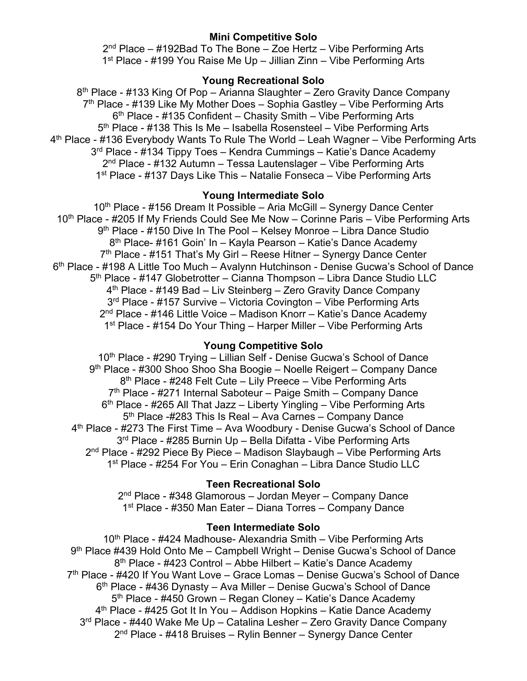# **Mini Competitive Solo**

 $2<sup>nd</sup> Place – #192Bad To The Bone – Zoe Hertz – Vibe Performing Arts$ 1<sup>st</sup> Place - #199 You Raise Me Up – Jillian Zinn – Vibe Performing Arts

# **Young Recreational Solo**

8<sup>th</sup> Place - #133 King Of Pop – Arianna Slaughter – Zero Gravity Dance Company 7<sup>th</sup> Place - #139 Like My Mother Does – Sophia Gastley – Vibe Performing Arts  $6<sup>th</sup>$  Place - #135 Confident – Chasity Smith – Vibe Performing Arts 5th Place - #138 This Is Me – Isabella Rosensteel – Vibe Performing Arts 4<sup>th</sup> Place - #136 Everybody Wants To Rule The World – Leah Wagner – Vibe Performing Arts 3<sup>rd</sup> Place - #134 Tippy Toes – Kendra Cummings – Katie's Dance Academy 2nd Place - #132 Autumn – Tessa Lautenslager – Vibe Performing Arts 1<sup>st</sup> Place - #137 Days Like This – Natalie Fonseca – Vibe Performing Arts

# **Young Intermediate Solo**

 $10<sup>th</sup>$  Place - #156 Dream It Possible – Aria McGill – Synergy Dance Center 10<sup>th</sup> Place - #205 If My Friends Could See Me Now – Corinne Paris – Vibe Performing Arts 9<sup>th</sup> Place - #150 Dive In The Pool – Kelsey Monroe – Libra Dance Studio 8th Place- #161 Goin' In – Kayla Pearson – Katie's Dance Academy 7<sup>th</sup> Place - #151 That's My Girl – Reese Hitner – Synergy Dance Center 6th Place - #198 A Little Too Much – Avalynn Hutchinson - Denise Gucwa's School of Dance 5th Place - #147 Globetrotter – Cianna Thompson – Libra Dance Studio LLC 4<sup>th</sup> Place - #149 Bad – Liv Steinberg – Zero Gravity Dance Company 3<sup>rd</sup> Place - #157 Survive – Victoria Covington – Vibe Performing Arts 2nd Place - #146 Little Voice – Madison Knorr – Katie's Dance Academy 1<sup>st</sup> Place - #154 Do Your Thing – Harper Miller – Vibe Performing Arts

# **Young Competitive Solo**

10<sup>th</sup> Place - #290 Trying - Lillian Self - Denise Gucwa's School of Dance 9th Place - #300 Shoo Shoo Sha Boogie – Noelle Reigert – Company Dance 8<sup>th</sup> Place - #248 Felt Cute – Lily Preece – Vibe Performing Arts  $7<sup>th</sup>$  Place - #271 Internal Saboteur – Paige Smith – Company Dance  $6<sup>th</sup>$  Place - #265 All That Jazz – Liberty Yingling – Vibe Performing Arts 5<sup>th</sup> Place -#283 This Is Real – Ava Carnes – Company Dance 4th Place - #273 The First Time – Ava Woodbury - Denise Gucwa's School of Dance 3<sup>rd</sup> Place - #285 Burnin Up - Bella Difatta - Vibe Performing Arts 2<sup>nd</sup> Place - #292 Piece By Piece – Madison Slaybaugh – Vibe Performing Arts 1st Place - #254 For You – Erin Conaghan – Libra Dance Studio LLC

# **Teen Recreational Solo**

2nd Place - #348 Glamorous – Jordan Meyer – Company Dance 1<sup>st</sup> Place - #350 Man Eater – Diana Torres – Company Dance

# **Teen Intermediate Solo**

10<sup>th</sup> Place - #424 Madhouse- Alexandria Smith – Vibe Performing Arts 9<sup>th</sup> Place #439 Hold Onto Me – Campbell Wright – Denise Gucwa's School of Dance 8<sup>th</sup> Place - #423 Control – Abbe Hilbert – Katie's Dance Academy 7<sup>th</sup> Place - #420 If You Want Love – Grace Lomas – Denise Gucwa's School of Dance 6th Place - #436 Dynasty – Ava Miller – Denise Gucwa's School of Dance 5<sup>th</sup> Place - #450 Grown – Regan Cloney – Katie's Dance Academy 4th Place - #425 Got It In You – Addison Hopkins – Katie Dance Academy 3<sup>rd</sup> Place - #440 Wake Me Up – Catalina Lesher – Zero Gravity Dance Company 2<sup>nd</sup> Place - #418 Bruises – Rylin Benner – Synergy Dance Center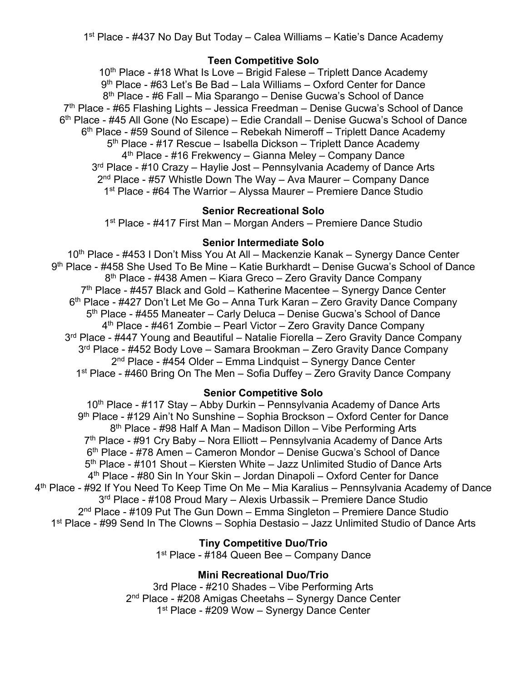1st Place - #437 No Day But Today – Calea Williams – Katie's Dance Academy

## **Teen Competitive Solo**

 $10<sup>th</sup>$  Place - #18 What Is Love – Brigid Falese – Triplett Dance Academy 9th Place - #63 Let's Be Bad – Lala Williams – Oxford Center for Dance 8th Place - #6 Fall – Mia Sparango – Denise Gucwa's School of Dance  $7<sup>th</sup>$  Place - #65 Flashing Lights – Jessica Freedman – Denise Gucwa's School of Dance 6th Place - #45 All Gone (No Escape) – Edie Crandall – Denise Gucwa's School of Dance 6th Place - #59 Sound of Silence – Rebekah Nimeroff – Triplett Dance Academy 5<sup>th</sup> Place - #17 Rescue – Isabella Dickson – Triplett Dance Academy  $4<sup>th</sup>$  Place - #16 Frekwency – Gianna Meley – Company Dance 3<sup>rd</sup> Place - #10 Crazy – Haylie Jost – Pennsylvania Academy of Dance Arts  $2<sup>nd</sup>$  Place - #57 Whistle Down The Way – Ava Maurer – Company Dance 1<sup>st</sup> Place - #64 The Warrior – Alyssa Maurer – Premiere Dance Studio

# **Senior Recreational Solo**

1st Place - #417 First Man – Morgan Anders – Premiere Dance Studio

### **Senior Intermediate Solo**

10<sup>th</sup> Place - #453 I Don't Miss You At All – Mackenzie Kanak – Synergy Dance Center 9th Place - #458 She Used To Be Mine – Katie Burkhardt – Denise Gucwa's School of Dance 8<sup>th</sup> Place - #438 Amen – Kiara Greco – Zero Gravity Dance Company  $7<sup>th</sup>$  Place - #457 Black and Gold – Katherine Macentee – Synergy Dance Center 6<sup>th</sup> Place - #427 Don't Let Me Go – Anna Turk Karan – Zero Gravity Dance Company 5<sup>th</sup> Place - #455 Maneater – Carly Deluca – Denise Gucwa's School of Dance  $4<sup>th</sup>$  Place - #461 Zombie – Pearl Victor – Zero Gravity Dance Company 3<sup>rd</sup> Place - #447 Young and Beautiful – Natalie Fiorella – Zero Gravity Dance Company 3<sup>rd</sup> Place - #452 Body Love – Samara Brookman – Zero Gravity Dance Company 2<sup>nd</sup> Place - #454 Older – Emma Lindquist – Synergy Dance Center 1<sup>st</sup> Place - #460 Bring On The Men – Sofia Duffey – Zero Gravity Dance Company

# **Senior Competitive Solo**

10<sup>th</sup> Place - #117 Stay – Abby Durkin – Pennsylvania Academy of Dance Arts 9th Place - #129 Ain't No Sunshine – Sophia Brockson – Oxford Center for Dance 8th Place - #98 Half A Man – Madison Dillon – Vibe Performing Arts  $7<sup>th</sup>$  Place - #91 Cry Baby – Nora Elliott – Pennsylvania Academy of Dance Arts 6th Place - #78 Amen – Cameron Mondor – Denise Gucwa's School of Dance 5th Place - #101 Shout – Kiersten White – Jazz Unlimited Studio of Dance Arts 4th Place - #80 Sin In Your Skin – Jordan Dinapoli – Oxford Center for Dance 4<sup>th</sup> Place - #92 If You Need To Keep Time On Me – Mia Karalius – Pennsylvania Academy of Dance 3rd Place - #108 Proud Mary – Alexis Urbassik – Premiere Dance Studio  $2<sup>nd</sup>$  Place - #109 Put The Gun Down – Emma Singleton – Premiere Dance Studio 1st Place - #99 Send In The Clowns – Sophia Destasio – Jazz Unlimited Studio of Dance Arts

**Tiny Competitive Duo/Trio**

1<sup>st</sup> Place - #184 Queen Bee – Company Dance

# **Mini Recreational Duo/Trio**

3rd Place - #210 Shades – Vibe Performing Arts 2nd Place - #208 Amigas Cheetahs – Synergy Dance Center 1<sup>st</sup> Place - #209 Wow – Synergy Dance Center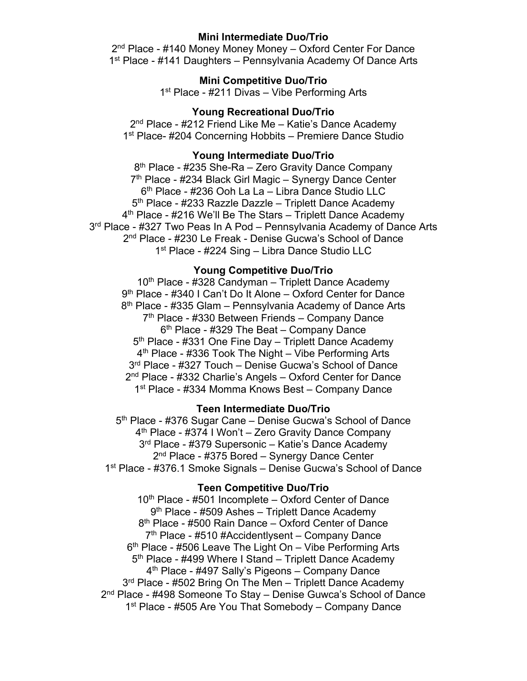### **Mini Intermediate Duo/Trio**

 $2<sup>nd</sup>$  Place - #140 Money Money Money – Oxford Center For Dance 1<sup>st</sup> Place - #141 Daughters – Pennsylvania Academy Of Dance Arts

## **Mini Competitive Duo/Trio**

1<sup>st</sup> Place - #211 Divas – Vibe Performing Arts

### **Young Recreational Duo/Trio**

2nd Place - #212 Friend Like Me – Katie's Dance Academy 1<sup>st</sup> Place- #204 Concerning Hobbits – Premiere Dance Studio

## **Young Intermediate Duo/Trio**

8<sup>th</sup> Place - #235 She-Ra – Zero Gravity Dance Company 7<sup>th</sup> Place - #234 Black Girl Magic – Synergy Dance Center 6th Place - #236 Ooh La La – Libra Dance Studio LLC 5<sup>th</sup> Place - #233 Razzle Dazzle – Triplett Dance Academy 4th Place - #216 We'll Be The Stars – Triplett Dance Academy 3<sup>rd</sup> Place - #327 Two Peas In A Pod – Pennsylvania Academy of Dance Arts 2nd Place - #230 Le Freak - Denise Gucwa's School of Dance 1<sup>st</sup> Place - #224 Sing - Libra Dance Studio LLC

#### **Young Competitive Duo/Trio**

 $10<sup>th</sup>$  Place - #328 Candyman – Triplett Dance Academy 9th Place - #340 I Can't Do It Alone – Oxford Center for Dance  $8<sup>th</sup>$  Place - #335 Glam – Pennsylvania Academy of Dance Arts 7th Place - #330 Between Friends – Company Dance  $6<sup>th</sup>$  Place - #329 The Beat – Company Dance 5<sup>th</sup> Place - #331 One Fine Day – Triplett Dance Academy 4<sup>th</sup> Place - #336 Took The Night – Vibe Performing Arts 3rd Place - #327 Touch – Denise Gucwa's School of Dance 2nd Place - #332 Charlie's Angels – Oxford Center for Dance 1<sup>st</sup> Place - #334 Momma Knows Best – Company Dance

## **Teen Intermediate Duo/Trio**

5<sup>th</sup> Place - #376 Sugar Cane – Denise Gucwa's School of Dance 4th Place - #374 I Won't – Zero Gravity Dance Company 3rd Place - #379 Supersonic – Katie's Dance Academy 2<sup>nd</sup> Place - #375 Bored – Synergy Dance Center 1st Place - #376.1 Smoke Signals – Denise Gucwa's School of Dance

### **Teen Competitive Duo/Trio**

 $10<sup>th</sup>$  Place - #501 Incomplete – Oxford Center of Dance 9th Place - #509 Ashes – Triplett Dance Academy 8<sup>th</sup> Place - #500 Rain Dance – Oxford Center of Dance  $7<sup>th</sup>$  Place - #510 #Accidentlysent – Company Dance  $6<sup>th</sup>$  Place - #506 Leave The Light On – Vibe Performing Arts 5<sup>th</sup> Place - #499 Where I Stand – Triplett Dance Academy 4th Place - #497 Sally's Pigeons – Company Dance 3<sup>rd</sup> Place - #502 Bring On The Men – Triplett Dance Academy 2nd Place - #498 Someone To Stay – Denise Guwca's School of Dance 1<sup>st</sup> Place - #505 Are You That Somebody – Company Dance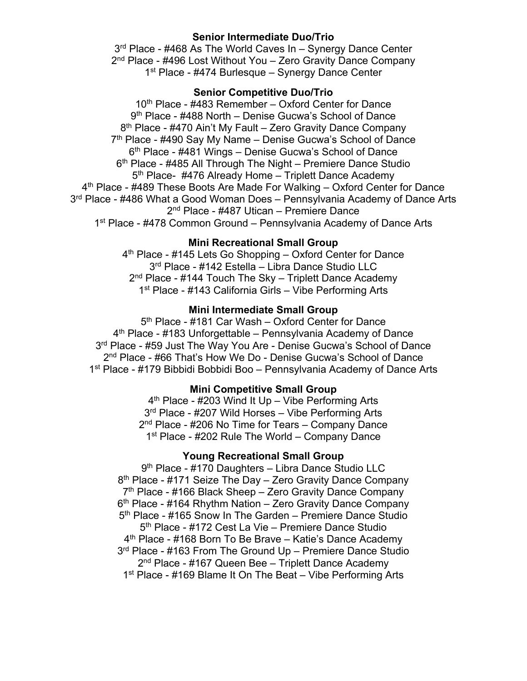## **Senior Intermediate Duo/Trio**

3<sup>rd</sup> Place - #468 As The World Caves In – Synergy Dance Center 2<sup>nd</sup> Place - #496 Lost Without You – Zero Gravity Dance Company 1<sup>st</sup> Place - #474 Burlesque – Synergy Dance Center

## **Senior Competitive Duo/Trio**

10<sup>th</sup> Place - #483 Remember – Oxford Center for Dance 9th Place - #488 North – Denise Gucwa's School of Dance 8<sup>th</sup> Place - #470 Ain't My Fault – Zero Gravity Dance Company  $7<sup>th</sup>$  Place - #490 Say My Name – Denise Gucwa's School of Dance 6th Place - #481 Wings – Denise Gucwa's School of Dance 6<sup>th</sup> Place - #485 All Through The Night – Premiere Dance Studio 5<sup>th</sup> Place- #476 Already Home – Triplett Dance Academy 4<sup>th</sup> Place - #489 These Boots Are Made For Walking – Oxford Center for Dance 3<sup>rd</sup> Place - #486 What a Good Woman Does – Pennsylvania Academy of Dance Arts 2nd Place - #487 Utican – Premiere Dance 1<sup>st</sup> Place - #478 Common Ground – Pennsylvania Academy of Dance Arts

### **Mini Recreational Small Group**

4th Place - #145 Lets Go Shopping – Oxford Center for Dance 3<sup>rd</sup> Place - #142 Estella – Libra Dance Studio LLC 2<sup>nd</sup> Place - #144 Touch The Sky – Triplett Dance Academy 1<sup>st</sup> Place - #143 California Girls - Vibe Performing Arts

## **Mini Intermediate Small Group**

5<sup>th</sup> Place - #181 Car Wash – Oxford Center for Dance  $4<sup>th</sup>$  Place - #183 Unforgettable – Pennsylvania Academy of Dance 3<sup>rd</sup> Place - #59 Just The Way You Are - Denise Gucwa's School of Dance 2nd Place - #66 That's How We Do - Denise Gucwa's School of Dance 1st Place - #179 Bibbidi Bobbidi Boo – Pennsylvania Academy of Dance Arts

### **Mini Competitive Small Group**

 $4<sup>th</sup>$  Place - #203 Wind It Up – Vibe Performing Arts 3<sup>rd</sup> Place - #207 Wild Horses – Vibe Performing Arts 2<sup>nd</sup> Place - #206 No Time for Tears – Company Dance 1<sup>st</sup> Place - #202 Rule The World – Company Dance

# **Young Recreational Small Group**

9th Place - #170 Daughters – Libra Dance Studio LLC  $8<sup>th</sup>$  Place - #171 Seize The Day – Zero Gravity Dance Company  $7<sup>th</sup>$  Place - #166 Black Sheep – Zero Gravity Dance Company  $6<sup>th</sup>$  Place - #164 Rhythm Nation – Zero Gravity Dance Company 5<sup>th</sup> Place - #165 Snow In The Garden – Premiere Dance Studio 5<sup>th</sup> Place - #172 Cest La Vie – Premiere Dance Studio 4<sup>th</sup> Place - #168 Born To Be Brave – Katie's Dance Academy 3<sup>rd</sup> Place - #163 From The Ground Up – Premiere Dance Studio 2<sup>nd</sup> Place - #167 Queen Bee – Triplett Dance Academy 1<sup>st</sup> Place - #169 Blame It On The Beat – Vibe Performing Arts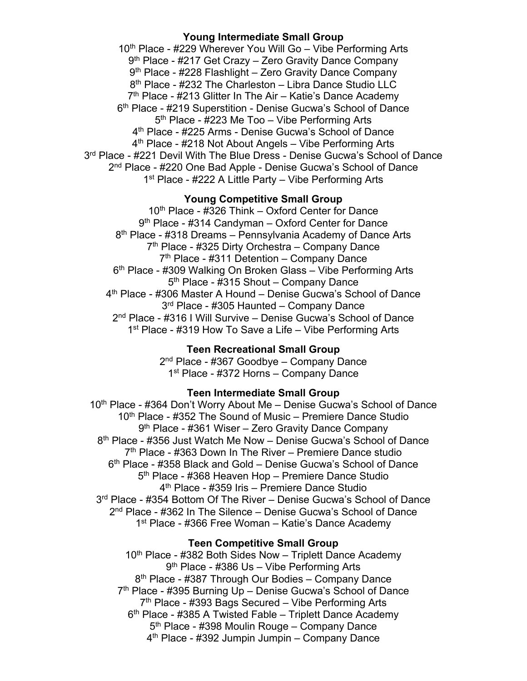#### **Young Intermediate Small Group**

10<sup>th</sup> Place - #229 Wherever You Will Go – Vibe Performing Arts 9<sup>th</sup> Place - #217 Get Crazy – Zero Gravity Dance Company 9<sup>th</sup> Place - #228 Flashlight – Zero Gravity Dance Company 8<sup>th</sup> Place - #232 The Charleston – Libra Dance Studio LLC  $7<sup>th</sup>$  Place - #213 Glitter In The Air – Katie's Dance Academy 6th Place - #219 Superstition - Denise Gucwa's School of Dance 5th Place - #223 Me Too – Vibe Performing Arts 4th Place - #225 Arms - Denise Gucwa's School of Dance 4<sup>th</sup> Place - #218 Not About Angels – Vibe Performing Arts 3<sup>rd</sup> Place - #221 Devil With The Blue Dress - Denise Gucwa's School of Dance 2<sup>nd</sup> Place - #220 One Bad Apple - Denise Gucwa's School of Dance 1<sup>st</sup> Place - #222 A Little Party – Vibe Performing Arts

### **Young Competitive Small Group**

10<sup>th</sup> Place - #326 Think – Oxford Center for Dance 9<sup>th</sup> Place - #314 Candyman – Oxford Center for Dance 8<sup>th</sup> Place - #318 Dreams – Pennsylvania Academy of Dance Arts 7<sup>th</sup> Place - #325 Dirty Orchestra – Company Dance  $7<sup>th</sup>$  Place - #311 Detention – Company Dance 6<sup>th</sup> Place - #309 Walking On Broken Glass – Vibe Performing Arts 5th Place - #315 Shout – Company Dance 4th Place - #306 Master A Hound – Denise Gucwa's School of Dance 3rd Place - #305 Haunted – Company Dance 2nd Place - #316 I Will Survive – Denise Gucwa's School of Dance 1<sup>st</sup> Place - #319 How To Save a Life – Vibe Performing Arts

## **Teen Recreational Small Group**

2<sup>nd</sup> Place - #367 Goodbye – Company Dance 1<sup>st</sup> Place - #372 Horns - Company Dance

## **Teen Intermediate Small Group**

10<sup>th</sup> Place - #364 Don't Worry About Me – Denise Gucwa's School of Dance  $10<sup>th</sup>$  Place - #352 The Sound of Music – Premiere Dance Studio 9<sup>th</sup> Place - #361 Wiser – Zero Gravity Dance Company 8th Place - #356 Just Watch Me Now – Denise Gucwa's School of Dance  $7<sup>th</sup>$  Place - #363 Down In The River – Premiere Dance studio 6th Place - #358 Black and Gold – Denise Gucwa's School of Dance 5<sup>th</sup> Place - #368 Heaven Hop - Premiere Dance Studio 4th Place - #359 Iris – Premiere Dance Studio 3<sup>rd</sup> Place - #354 Bottom Of The River – Denise Gucwa's School of Dance 2nd Place - #362 In The Silence – Denise Gucwa's School of Dance 1st Place - #366 Free Woman – Katie's Dance Academy

#### **Teen Competitive Small Group**

10<sup>th</sup> Place - #382 Both Sides Now – Triplett Dance Academy 9th Place - #386 Us – Vibe Performing Arts 8<sup>th</sup> Place - #387 Through Our Bodies – Company Dance 7<sup>th</sup> Place - #395 Burning Up – Denise Gucwa's School of Dance  $7<sup>th</sup>$  Place - #393 Bags Secured – Vibe Performing Arts  $6<sup>th</sup>$  Place - #385 A Twisted Fable – Triplett Dance Academy 5th Place - #398 Moulin Rouge – Company Dance 4th Place - #392 Jumpin Jumpin – Company Dance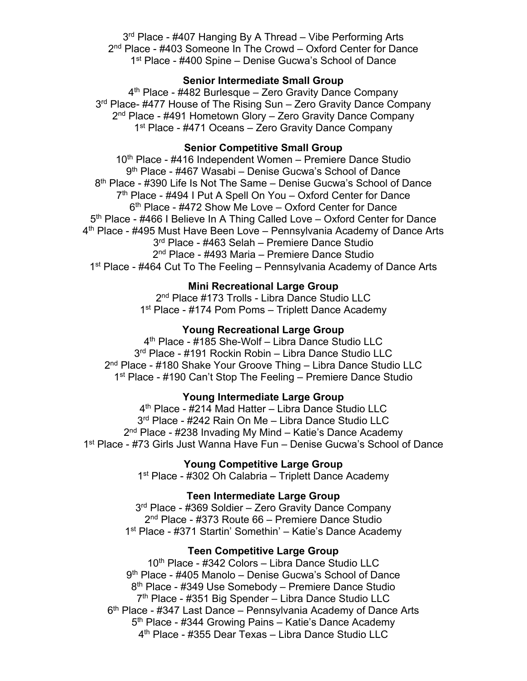3<sup>rd</sup> Place - #407 Hanging By A Thread – Vibe Performing Arts 2<sup>nd</sup> Place - #403 Someone In The Crowd – Oxford Center for Dance 1<sup>st</sup> Place - #400 Spine – Denise Gucwa's School of Dance

# **Senior Intermediate Small Group**

4<sup>th</sup> Place - #482 Burlesque – Zero Gravity Dance Company 3<sup>rd</sup> Place- #477 House of The Rising Sun - Zero Gravity Dance Company 2<sup>nd</sup> Place - #491 Hometown Glory – Zero Gravity Dance Company 1<sup>st</sup> Place - #471 Oceans – Zero Gravity Dance Company

## **Senior Competitive Small Group**

10<sup>th</sup> Place - #416 Independent Women – Premiere Dance Studio 9<sup>th</sup> Place - #467 Wasabi – Denise Gucwa's School of Dance 8<sup>th</sup> Place - #390 Life Is Not The Same – Denise Gucwa's School of Dance 7<sup>th</sup> Place - #494 I Put A Spell On You – Oxford Center for Dance 6<sup>th</sup> Place - #472 Show Me Love – Oxford Center for Dance 5<sup>th</sup> Place - #466 I Believe In A Thing Called Love – Oxford Center for Dance 4<sup>th</sup> Place - #495 Must Have Been Love – Pennsylvania Academy of Dance Arts 3rd Place - #463 Selah – Premiere Dance Studio 2<sup>nd</sup> Place - #493 Maria – Premiere Dance Studio 1<sup>st</sup> Place - #464 Cut To The Feeling – Pennsylvania Academy of Dance Arts

#### **Mini Recreational Large Group**

2<sup>nd</sup> Place #173 Trolls - Libra Dance Studio LLC 1<sup>st</sup> Place - #174 Pom Poms – Triplett Dance Academy

## **Young Recreational Large Group**

4th Place - #185 She-Wolf – Libra Dance Studio LLC 3rd Place - #191 Rockin Robin – Libra Dance Studio LLC 2nd Place - #180 Shake Your Groove Thing – Libra Dance Studio LLC 1<sup>st</sup> Place - #190 Can't Stop The Feeling – Premiere Dance Studio

#### **Young Intermediate Large Group**

4th Place - #214 Mad Hatter – Libra Dance Studio LLC 3rd Place - #242 Rain On Me – Libra Dance Studio LLC 2<sup>nd</sup> Place - #238 Invading My Mind – Katie's Dance Academy 1st Place - #73 Girls Just Wanna Have Fun – Denise Gucwa's School of Dance

# **Young Competitive Large Group**

1<sup>st</sup> Place - #302 Oh Calabria – Triplett Dance Academy

#### **Teen Intermediate Large Group**

3<sup>rd</sup> Place - #369 Soldier – Zero Gravity Dance Company 2nd Place - #373 Route 66 – Premiere Dance Studio 1st Place - #371 Startin' Somethin' – Katie's Dance Academy

### **Teen Competitive Large Group**

10th Place - #342 Colors – Libra Dance Studio LLC 9<sup>th</sup> Place - #405 Manolo – Denise Gucwa's School of Dance 8<sup>th</sup> Place - #349 Use Somebody – Premiere Dance Studio 7<sup>th</sup> Place - #351 Big Spender - Libra Dance Studio LLC 6<sup>th</sup> Place - #347 Last Dance – Pennsylvania Academy of Dance Arts 5<sup>th</sup> Place - #344 Growing Pains – Katie's Dance Academy 4th Place - #355 Dear Texas – Libra Dance Studio LLC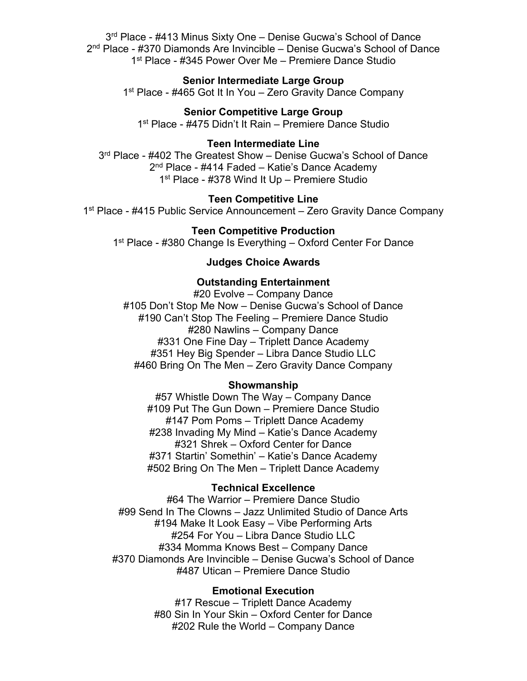3rd Place - #413 Minus Sixty One – Denise Gucwa's School of Dance 2nd Place - #370 Diamonds Are Invincible – Denise Gucwa's School of Dance 1<sup>st</sup> Place - #345 Power Over Me – Premiere Dance Studio

#### **Senior Intermediate Large Group**

1<sup>st</sup> Place - #465 Got It In You – Zero Gravity Dance Company

# **Senior Competitive Large Group**

1<sup>st</sup> Place - #475 Didn't It Rain – Premiere Dance Studio

### **Teen Intermediate Line**

3<sup>rd</sup> Place - #402 The Greatest Show – Denise Gucwa's School of Dance 2<sup>nd</sup> Place - #414 Faded – Katie's Dance Academy 1st Place - #378 Wind It Up – Premiere Studio

#### **Teen Competitive Line**

1<sup>st</sup> Place - #415 Public Service Announcement – Zero Gravity Dance Company

## **Teen Competitive Production**

1<sup>st</sup> Place - #380 Change Is Everything – Oxford Center For Dance

## **Judges Choice Awards**

#### **Outstanding Entertainment**

#20 Evolve – Company Dance #105 Don't Stop Me Now – Denise Gucwa's School of Dance #190 Can't Stop The Feeling – Premiere Dance Studio #280 Nawlins – Company Dance #331 One Fine Day – Triplett Dance Academy #351 Hey Big Spender – Libra Dance Studio LLC #460 Bring On The Men – Zero Gravity Dance Company

#### **Showmanship**

#57 Whistle Down The Way – Company Dance #109 Put The Gun Down – Premiere Dance Studio #147 Pom Poms – Triplett Dance Academy #238 Invading My Mind – Katie's Dance Academy #321 Shrek – Oxford Center for Dance #371 Startin' Somethin' – Katie's Dance Academy #502 Bring On The Men – Triplett Dance Academy

### **Technical Excellence**

#64 The Warrior – Premiere Dance Studio #99 Send In The Clowns – Jazz Unlimited Studio of Dance Arts #194 Make It Look Easy – Vibe Performing Arts #254 For You – Libra Dance Studio LLC #334 Momma Knows Best – Company Dance #370 Diamonds Are Invincible – Denise Gucwa's School of Dance #487 Utican – Premiere Dance Studio

### **Emotional Execution**

#17 Rescue – Triplett Dance Academy #80 Sin In Your Skin – Oxford Center for Dance #202 Rule the World – Company Dance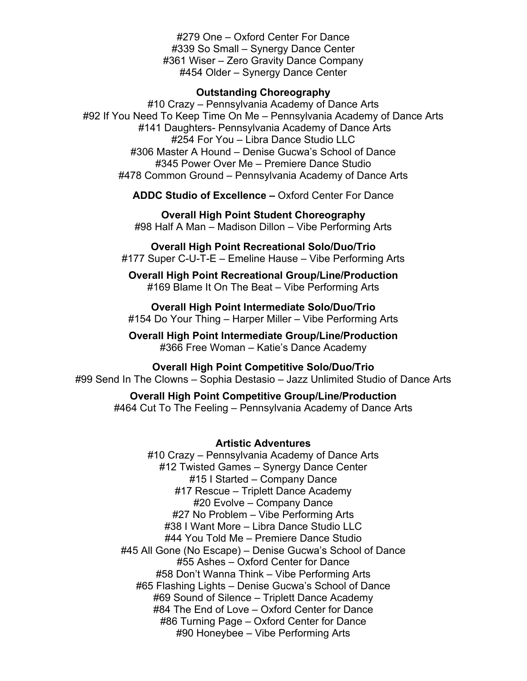#279 One – Oxford Center For Dance #339 So Small – Synergy Dance Center #361 Wiser – Zero Gravity Dance Company #454 Older – Synergy Dance Center

#### **Outstanding Choreography**

#10 Crazy – Pennsylvania Academy of Dance Arts #92 If You Need To Keep Time On Me – Pennsylvania Academy of Dance Arts #141 Daughters- Pennsylvania Academy of Dance Arts #254 For You – Libra Dance Studio LLC #306 Master A Hound – Denise Gucwa's School of Dance #345 Power Over Me – Premiere Dance Studio #478 Common Ground – Pennsylvania Academy of Dance Arts

**ADDC Studio of Excellence –** Oxford Center For Dance

**Overall High Point Student Choreography** #98 Half A Man – Madison Dillon – Vibe Performing Arts

**Overall High Point Recreational Solo/Duo/Trio** #177 Super C-U-T-E – Emeline Hause – Vibe Performing Arts

**Overall High Point Recreational Group/Line/Production** #169 Blame It On The Beat – Vibe Performing Arts

**Overall High Point Intermediate Solo/Duo/Trio** #154 Do Your Thing – Harper Miller – Vibe Performing Arts

**Overall High Point Intermediate Group/Line/Production** #366 Free Woman – Katie's Dance Academy

**Overall High Point Competitive Solo/Duo/Trio** #99 Send In The Clowns – Sophia Destasio – Jazz Unlimited Studio of Dance Arts

**Overall High Point Competitive Group/Line/Production** #464 Cut To The Feeling – Pennsylvania Academy of Dance Arts

#### **Artistic Adventures**

#10 Crazy – Pennsylvania Academy of Dance Arts #12 Twisted Games – Synergy Dance Center #15 I Started – Company Dance #17 Rescue – Triplett Dance Academy #20 Evolve – Company Dance #27 No Problem – Vibe Performing Arts #38 I Want More – Libra Dance Studio LLC #44 You Told Me – Premiere Dance Studio #45 All Gone (No Escape) – Denise Gucwa's School of Dance #55 Ashes – Oxford Center for Dance #58 Don't Wanna Think – Vibe Performing Arts #65 Flashing Lights – Denise Gucwa's School of Dance #69 Sound of Silence – Triplett Dance Academy #84 The End of Love – Oxford Center for Dance #86 Turning Page – Oxford Center for Dance #90 Honeybee – Vibe Performing Arts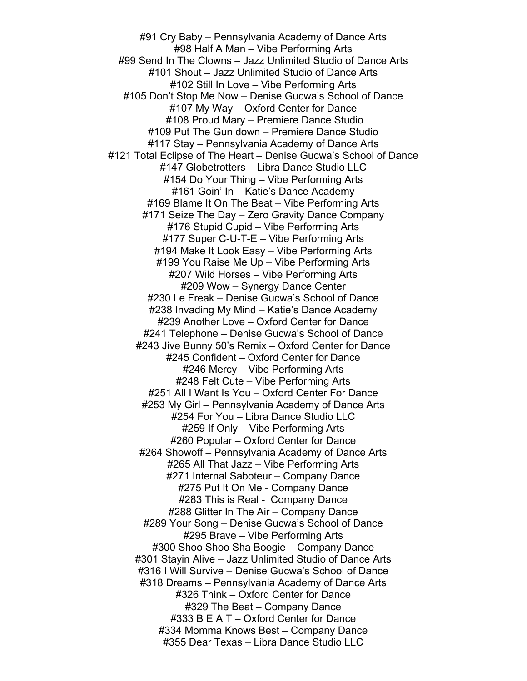#91 Cry Baby – Pennsylvania Academy of Dance Arts #98 Half A Man – Vibe Performing Arts #99 Send In The Clowns – Jazz Unlimited Studio of Dance Arts #101 Shout – Jazz Unlimited Studio of Dance Arts #102 Still In Love – Vibe Performing Arts #105 Don't Stop Me Now – Denise Gucwa's School of Dance #107 My Way – Oxford Center for Dance #108 Proud Mary – Premiere Dance Studio #109 Put The Gun down – Premiere Dance Studio #117 Stay – Pennsylvania Academy of Dance Arts #121 Total Eclipse of The Heart – Denise Gucwa's School of Dance #147 Globetrotters – Libra Dance Studio LLC #154 Do Your Thing – Vibe Performing Arts #161 Goin' In – Katie's Dance Academy #169 Blame It On The Beat – Vibe Performing Arts #171 Seize The Day – Zero Gravity Dance Company #176 Stupid Cupid – Vibe Performing Arts #177 Super C-U-T-E – Vibe Performing Arts #194 Make It Look Easy – Vibe Performing Arts #199 You Raise Me Up – Vibe Performing Arts #207 Wild Horses – Vibe Performing Arts #209 Wow – Synergy Dance Center #230 Le Freak – Denise Gucwa's School of Dance #238 Invading My Mind – Katie's Dance Academy #239 Another Love – Oxford Center for Dance #241 Telephone – Denise Gucwa's School of Dance #243 Jive Bunny 50's Remix – Oxford Center for Dance #245 Confident – Oxford Center for Dance #246 Mercy – Vibe Performing Arts #248 Felt Cute – Vibe Performing Arts #251 All I Want Is You – Oxford Center For Dance #253 My Girl – Pennsylvania Academy of Dance Arts #254 For You – Libra Dance Studio LLC #259 If Only – Vibe Performing Arts #260 Popular – Oxford Center for Dance #264 Showoff – Pennsylvania Academy of Dance Arts #265 All That Jazz – Vibe Performing Arts #271 Internal Saboteur – Company Dance #275 Put It On Me - Company Dance #283 This is Real - Company Dance #288 Glitter In The Air – Company Dance #289 Your Song – Denise Gucwa's School of Dance #295 Brave – Vibe Performing Arts #300 Shoo Shoo Sha Boogie – Company Dance #301 Stayin Alive – Jazz Unlimited Studio of Dance Arts #316 I Will Survive – Denise Gucwa's School of Dance #318 Dreams – Pennsylvania Academy of Dance Arts #326 Think – Oxford Center for Dance #329 The Beat – Company Dance #333 B E A T – Oxford Center for Dance #334 Momma Knows Best – Company Dance #355 Dear Texas – Libra Dance Studio LLC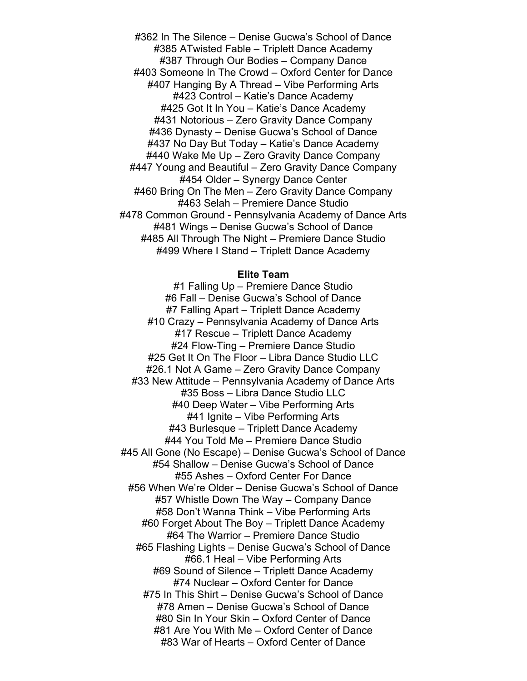#362 In The Silence – Denise Gucwa's School of Dance #385 ATwisted Fable – Triplett Dance Academy #387 Through Our Bodies – Company Dance #403 Someone In The Crowd – Oxford Center for Dance #407 Hanging By A Thread – Vibe Performing Arts #423 Control – Katie's Dance Academy #425 Got It In You – Katie's Dance Academy #431 Notorious – Zero Gravity Dance Company #436 Dynasty – Denise Gucwa's School of Dance #437 No Day But Today – Katie's Dance Academy #440 Wake Me Up – Zero Gravity Dance Company #447 Young and Beautiful – Zero Gravity Dance Company #454 Older – Synergy Dance Center #460 Bring On The Men – Zero Gravity Dance Company #463 Selah – Premiere Dance Studio #478 Common Ground - Pennsylvania Academy of Dance Arts #481 Wings – Denise Gucwa's School of Dance #485 All Through The Night – Premiere Dance Studio #499 Where I Stand – Triplett Dance Academy

#### **Elite Team**

#1 Falling Up – Premiere Dance Studio #6 Fall – Denise Gucwa's School of Dance #7 Falling Apart – Triplett Dance Academy #10 Crazy – Pennsylvania Academy of Dance Arts #17 Rescue – Triplett Dance Academy #24 Flow-Ting – Premiere Dance Studio #25 Get It On The Floor – Libra Dance Studio LLC #26.1 Not A Game – Zero Gravity Dance Company #33 New Attitude – Pennsylvania Academy of Dance Arts #35 Boss – Libra Dance Studio LLC #40 Deep Water – Vibe Performing Arts #41 Ignite – Vibe Performing Arts #43 Burlesque – Triplett Dance Academy #44 You Told Me – Premiere Dance Studio #45 All Gone (No Escape) – Denise Gucwa's School of Dance #54 Shallow – Denise Gucwa's School of Dance #55 Ashes – Oxford Center For Dance #56 When We're Older – Denise Gucwa's School of Dance #57 Whistle Down The Way – Company Dance #58 Don't Wanna Think – Vibe Performing Arts #60 Forget About The Boy – Triplett Dance Academy #64 The Warrior – Premiere Dance Studio #65 Flashing Lights – Denise Gucwa's School of Dance #66.1 Heal – Vibe Performing Arts #69 Sound of Silence – Triplett Dance Academy #74 Nuclear – Oxford Center for Dance #75 In This Shirt – Denise Gucwa's School of Dance #78 Amen – Denise Gucwa's School of Dance #80 Sin In Your Skin – Oxford Center of Dance #81 Are You With Me – Oxford Center of Dance #83 War of Hearts – Oxford Center of Dance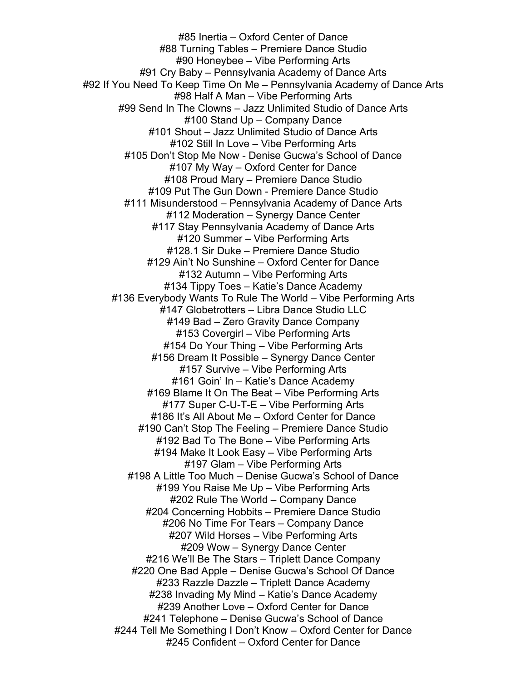#85 Inertia – Oxford Center of Dance #88 Turning Tables – Premiere Dance Studio #90 Honeybee – Vibe Performing Arts #91 Cry Baby – Pennsylvania Academy of Dance Arts #92 If You Need To Keep Time On Me – Pennsylvania Academy of Dance Arts #98 Half A Man – Vibe Performing Arts #99 Send In The Clowns – Jazz Unlimited Studio of Dance Arts #100 Stand Up – Company Dance #101 Shout – Jazz Unlimited Studio of Dance Arts #102 Still In Love – Vibe Performing Arts #105 Don't Stop Me Now - Denise Gucwa's School of Dance #107 My Way – Oxford Center for Dance #108 Proud Mary – Premiere Dance Studio #109 Put The Gun Down - Premiere Dance Studio #111 Misunderstood – Pennsylvania Academy of Dance Arts #112 Moderation – Synergy Dance Center #117 Stay Pennsylvania Academy of Dance Arts #120 Summer – Vibe Performing Arts #128.1 Sir Duke – Premiere Dance Studio #129 Ain't No Sunshine – Oxford Center for Dance #132 Autumn – Vibe Performing Arts #134 Tippy Toes – Katie's Dance Academy #136 Everybody Wants To Rule The World – Vibe Performing Arts #147 Globetrotters – Libra Dance Studio LLC #149 Bad – Zero Gravity Dance Company #153 Covergirl – Vibe Performing Arts #154 Do Your Thing – Vibe Performing Arts #156 Dream It Possible – Synergy Dance Center #157 Survive – Vibe Performing Arts #161 Goin' In – Katie's Dance Academy #169 Blame It On The Beat – Vibe Performing Arts #177 Super C-U-T-E – Vibe Performing Arts #186 It's All About Me – Oxford Center for Dance #190 Can't Stop The Feeling – Premiere Dance Studio #192 Bad To The Bone – Vibe Performing Arts #194 Make It Look Easy – Vibe Performing Arts #197 Glam – Vibe Performing Arts #198 A Little Too Much – Denise Gucwa's School of Dance #199 You Raise Me Up – Vibe Performing Arts #202 Rule The World – Company Dance #204 Concerning Hobbits – Premiere Dance Studio #206 No Time For Tears – Company Dance #207 Wild Horses – Vibe Performing Arts #209 Wow – Synergy Dance Center #216 We'll Be The Stars – Triplett Dance Company #220 One Bad Apple – Denise Gucwa's School Of Dance #233 Razzle Dazzle – Triplett Dance Academy #238 Invading My Mind – Katie's Dance Academy #239 Another Love – Oxford Center for Dance #241 Telephone – Denise Gucwa's School of Dance #244 Tell Me Something I Don't Know – Oxford Center for Dance #245 Confident – Oxford Center for Dance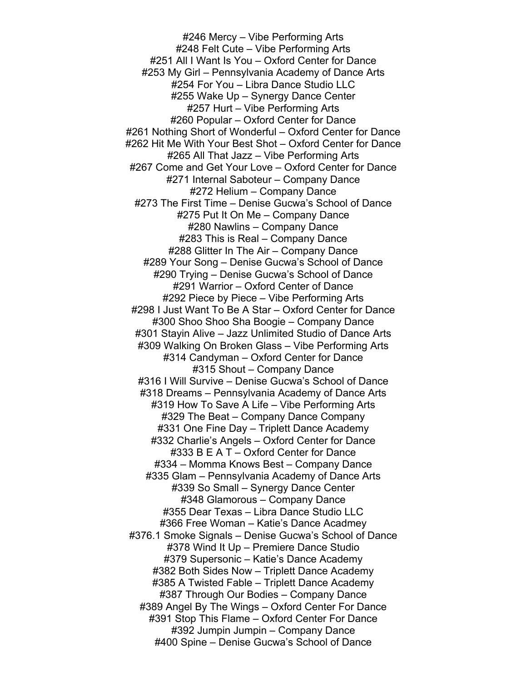#246 Mercy – Vibe Performing Arts #248 Felt Cute – Vibe Performing Arts #251 All I Want Is You – Oxford Center for Dance #253 My Girl – Pennsylvania Academy of Dance Arts #254 For You – Libra Dance Studio LLC #255 Wake Up – Synergy Dance Center #257 Hurt – Vibe Performing Arts #260 Popular – Oxford Center for Dance #261 Nothing Short of Wonderful – Oxford Center for Dance #262 Hit Me With Your Best Shot – Oxford Center for Dance #265 All That Jazz – Vibe Performing Arts #267 Come and Get Your Love – Oxford Center for Dance #271 Internal Saboteur – Company Dance #272 Helium – Company Dance #273 The First Time – Denise Gucwa's School of Dance #275 Put It On Me – Company Dance #280 Nawlins – Company Dance #283 This is Real – Company Dance #288 Glitter In The Air – Company Dance #289 Your Song – Denise Gucwa's School of Dance #290 Trying – Denise Gucwa's School of Dance #291 Warrior – Oxford Center of Dance #292 Piece by Piece – Vibe Performing Arts #298 I Just Want To Be A Star – Oxford Center for Dance #300 Shoo Shoo Sha Boogie – Company Dance #301 Stayin Alive – Jazz Unlimited Studio of Dance Arts #309 Walking On Broken Glass – Vibe Performing Arts #314 Candyman – Oxford Center for Dance #315 Shout – Company Dance #316 I Will Survive – Denise Gucwa's School of Dance #318 Dreams – Pennsylvania Academy of Dance Arts #319 How To Save A Life – Vibe Performing Arts #329 The Beat – Company Dance Company #331 One Fine Day – Triplett Dance Academy #332 Charlie's Angels – Oxford Center for Dance #333 B E A T – Oxford Center for Dance #334 – Momma Knows Best – Company Dance #335 Glam – Pennsylvania Academy of Dance Arts #339 So Small – Synergy Dance Center #348 Glamorous – Company Dance #355 Dear Texas – Libra Dance Studio LLC #366 Free Woman – Katie's Dance Acadmey #376.1 Smoke Signals – Denise Gucwa's School of Dance #378 Wind It Up – Premiere Dance Studio #379 Supersonic – Katie's Dance Academy #382 Both Sides Now – Triplett Dance Academy #385 A Twisted Fable – Triplett Dance Academy #387 Through Our Bodies – Company Dance #389 Angel By The Wings – Oxford Center For Dance #391 Stop This Flame – Oxford Center For Dance #392 Jumpin Jumpin – Company Dance #400 Spine – Denise Gucwa's School of Dance